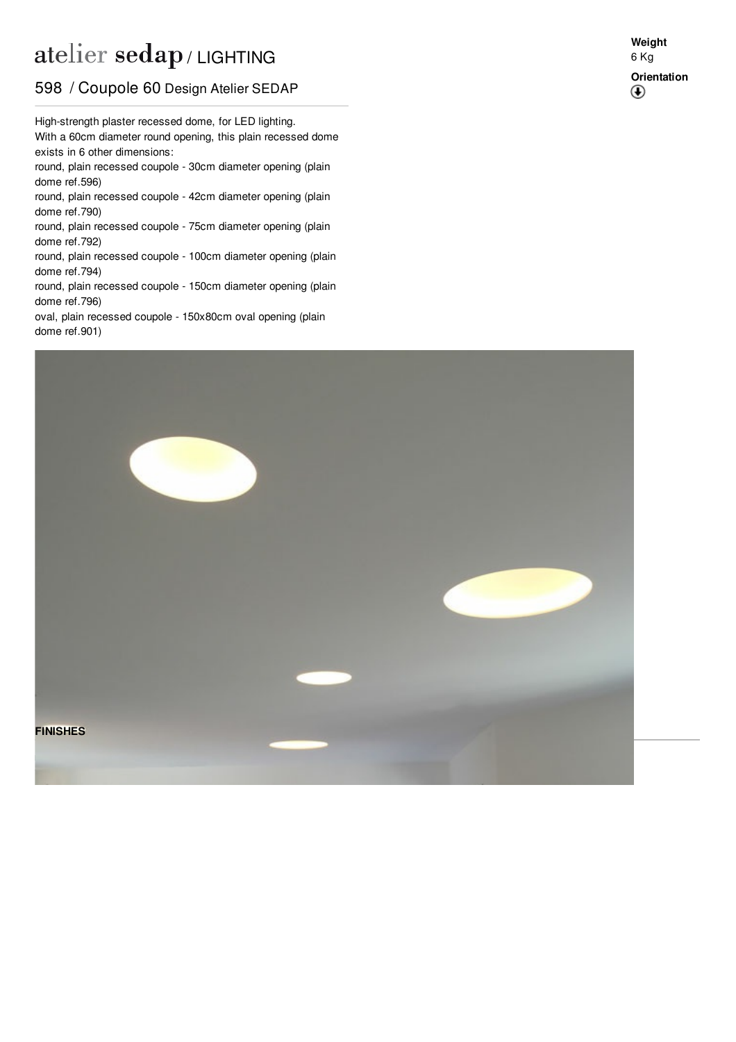## atelier sedap / LIGHTING

## 598 / Coupole 60 Design Atelier SEDAP

With a 60cm diameter round opening, this plain recessed dome High-strength plaster recessed dome, for LED lighting. exists in 6 other dimensions: round, plain recessed coupole - 30cm diameter opening (plain

dome ref[.596](http://www.sedap.com/lighting/en/produits/view/596)) round, plain recessed coupole - 42cm diameter opening (plain dome ref[.790](http://www.sedap.com/lighting/en/produits/view/790))

round, plain recessed coupole - 75cm diameter opening (plain dome ref[.792](http://www.sedap.com/lighting/en/produits/view/792))

round, plain recessed coupole - 100cm diameter opening (plain dome ref[.794](http://www.sedap.com/lighting/en/produits/view/794))

round, plain recessed coupole - 150cm diameter opening (plain dome ref[.796](http://www.sedap.com/lighting/en/produits/view/796))

oval, plain recessed coupole - 150x80cm oval opening (plain dome ref[.901](http://www.sedap.com/lighting/en/produits/view/901))